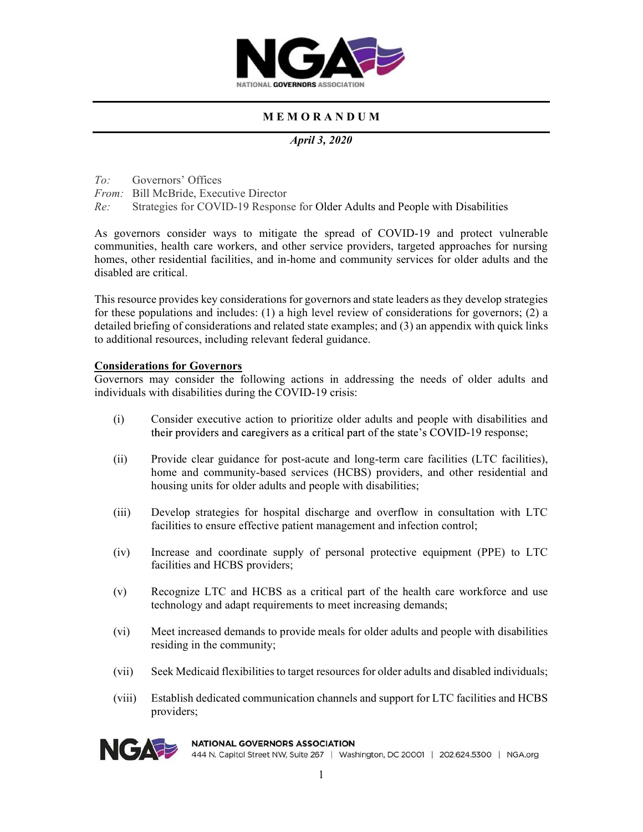

# M E M O R A N D U M

April 3, 2020

To: Governors' Offices

From: Bill McBride, Executive Director

Re: Strategies for COVID-19 Response for Older Adults and People with Disabilities

As governors consider ways to mitigate the spread of COVID-19 and protect vulnerable communities, health care workers, and other service providers, targeted approaches for nursing homes, other residential facilities, and in-home and community services for older adults and the disabled are critical.

This resource provides key considerations for governors and state leaders as they develop strategies for these populations and includes: (1) a high level review of considerations for governors; (2) a detailed briefing of considerations and related state examples; and (3) an appendix with quick links to additional resources, including relevant federal guidance.

## Considerations for Governors

Governors may consider the following actions in addressing the needs of older adults and individuals with disabilities during the COVID-19 crisis:

- (i) Consider executive action to prioritize older adults and people with disabilities and their providers and caregivers as a critical part of the state's COVID-19 response;
- (ii) Provide clear guidance for post-acute and long-term care facilities (LTC facilities), home and community-based services (HCBS) providers, and other residential and housing units for older adults and people with disabilities;
- (iii) Develop strategies for hospital discharge and overflow in consultation with LTC facilities to ensure effective patient management and infection control;
- (iv) Increase and coordinate supply of personal protective equipment (PPE) to LTC facilities and HCBS providers;
- (v) Recognize LTC and HCBS as a critical part of the health care workforce and use technology and adapt requirements to meet increasing demands;
- (vi) Meet increased demands to provide meals for older adults and people with disabilities residing in the community;
- (vii) Seek Medicaid flexibilities to target resources for older adults and disabled individuals;
- (viii) Establish dedicated communication channels and support for LTC facilities and HCBS providers;



## **NATIONAL GOVERNORS ASSOCIATION**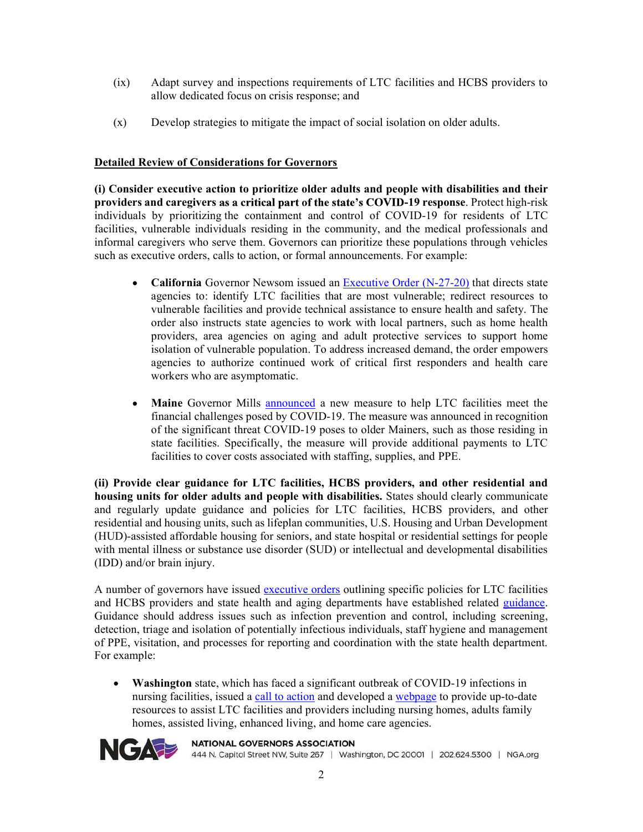- (ix) Adapt survey and inspections requirements of LTC facilities and HCBS providers to allow dedicated focus on crisis response; and
- (x) Develop strategies to mitigate the impact of social isolation on older adults.

## Detailed Review of Considerations for Governors

(i) Consider executive action to prioritize older adults and people with disabilities and their providers and caregivers as a critical part of the state's COVID-19 response. Protect high-risk individuals by prioritizing the containment and control of COVID-19 for residents of LTC facilities, vulnerable individuals residing in the community, and the medical professionals and informal caregivers who serve them. Governors can prioritize these populations through vehicles such as executive orders, calls to action, or formal announcements. For example:

- $\bullet$ California Governor Newsom issued an Executive Order (N-27-20) that directs state agencies to: identify LTC facilities that are most vulnerable; redirect resources to vulnerable facilities and provide technical assistance to ensure health and safety. The order also instructs state agencies to work with local partners, such as home health providers, area agencies on aging and adult protective services to support home isolation of vulnerable population. To address increased demand, the order empowers agencies to authorize continued work of critical first responders and health care workers who are asymptomatic.
- $\bullet$ Maine Governor Mills announced a new measure to help LTC facilities meet the financial challenges posed by COVID-19. The measure was announced in recognition of the significant threat COVID-19 poses to older Mainers, such as those residing in state facilities. Specifically, the measure will provide additional payments to LTC facilities to cover costs associated with staffing, supplies, and PPE.

(ii) Provide clear guidance for LTC facilities, HCBS providers, and other residential and housing units for older adults and people with disabilities. States should clearly communicate and regularly update guidance and policies for LTC facilities, HCBS providers, and other residential and housing units, such as lifeplan communities, U.S. Housing and Urban Development (HUD)-assisted affordable housing for seniors, and state hospital or residential settings for people with mental illness or substance use disorder (SUD) or intellectual and developmental disabilities (IDD) and/or brain injury.

A number of governors have issued executive orders outlining specific policies for LTC facilities and HCBS providers and state health and aging departments have established related *guidance*. Guidance should address issues such as infection prevention and control, including screening, detection, triage and isolation of potentially infectious individuals, staff hygiene and management of PPE, visitation, and processes for reporting and coordination with the state health department. For example:

Washington state, which has faced a significant outbreak of COVID-19 infections in nursing facilities, issued a call to action and developed a webpage to provide up-to-date resources to assist LTC facilities and providers including nursing homes, adults family homes, assisted living, enhanced living, and home care agencies.



## **NATIONAL GOVERNORS ASSOCIATION**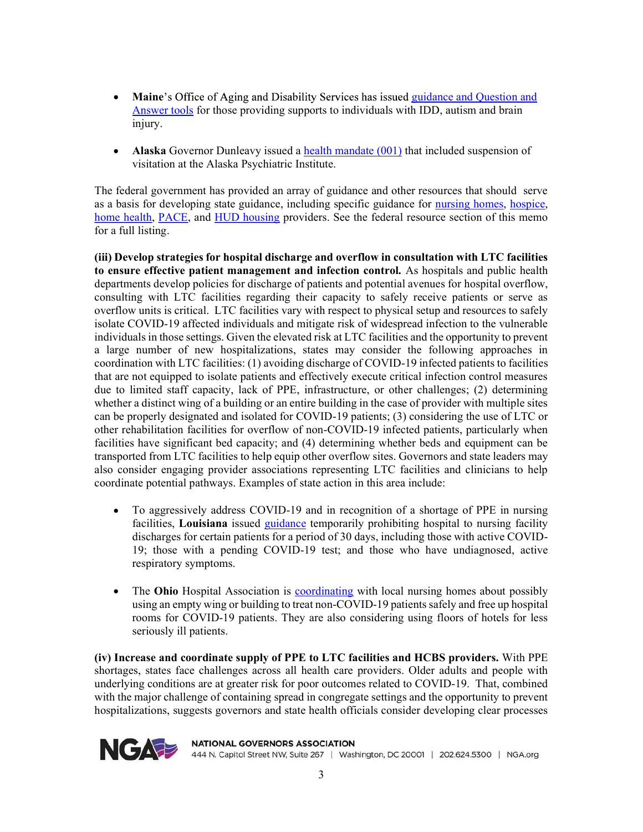- $\bullet$ **Maine's Office of Aging and Disability Services has issued guidance and Ouestion and** Answer tools for those providing supports to individuals with IDD, autism and brain injury.
- $\bullet$ Alaska Governor Dunleavy issued a health mandate  $(001)$  that included suspension of visitation at the Alaska Psychiatric Institute.

The federal government has provided an array of guidance and other resources that should serve as a basis for developing state guidance, including specific guidance for **nursing homes**, hospice, home health, PACE, and HUD housing providers. See the federal resource section of this memo for a full listing.

(iii) Develop strategies for hospital discharge and overflow in consultation with LTC facilities to ensure effective patient management and infection control. As hospitals and public health departments develop policies for discharge of patients and potential avenues for hospital overflow, consulting with LTC facilities regarding their capacity to safely receive patients or serve as overflow units is critical. LTC facilities vary with respect to physical setup and resources to safely isolate COVID-19 affected individuals and mitigate risk of widespread infection to the vulnerable individuals in those settings. Given the elevated risk at LTC facilities and the opportunity to prevent a large number of new hospitalizations, states may consider the following approaches in coordination with LTC facilities: (1) avoiding discharge of COVID-19 infected patients to facilities that are not equipped to isolate patients and effectively execute critical infection control measures due to limited staff capacity, lack of PPE, infrastructure, or other challenges; (2) determining whether a distinct wing of a building or an entire building in the case of provider with multiple sites can be properly designated and isolated for COVID-19 patients; (3) considering the use of LTC or other rehabilitation facilities for overflow of non-COVID-19 infected patients, particularly when facilities have significant bed capacity; and (4) determining whether beds and equipment can be transported from LTC facilities to help equip other overflow sites. Governors and state leaders may also consider engaging provider associations representing LTC facilities and clinicians to help coordinate potential pathways. Examples of state action in this area include:

- To aggressively address COVID-19 and in recognition of a shortage of PPE in nursing  $\bullet$ facilities, Louisiana issued guidance temporarily prohibiting hospital to nursing facility discharges for certain patients for a period of 30 days, including those with active COVID-19; those with a pending COVID-19 test; and those who have undiagnosed, active respiratory symptoms.
- The Ohio Hospital Association is **coordinating** with local nursing homes about possibly  $\bullet$ using an empty wing or building to treat non-COVID-19 patients safely and free up hospital rooms for COVID-19 patients. They are also considering using floors of hotels for less seriously ill patients.

(iv) Increase and coordinate supply of PPE to LTC facilities and HCBS providers. With PPE shortages, states face challenges across all health care providers. Older adults and people with underlying conditions are at greater risk for poor outcomes related to COVID-19. That, combined with the major challenge of containing spread in congregate settings and the opportunity to prevent hospitalizations, suggests governors and state health officials consider developing clear processes



**NATIONAL GOVERNORS ASSOCIATION**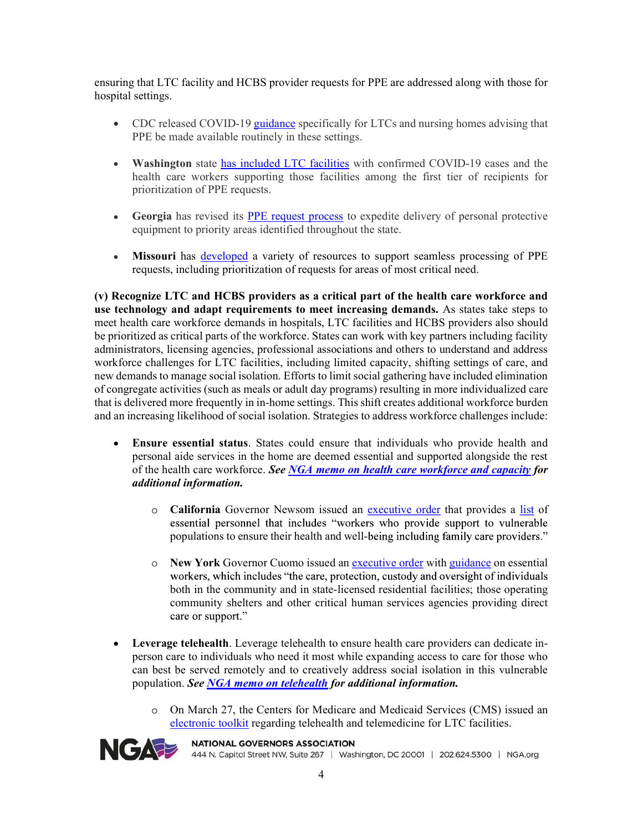ensuring that LTC facility and HCBS provider requests for PPE are addressed along with those for hospital settings.

- PPE be made available routinely in these settings.
- that LTC facility and HCBS provider requests for PPE are addressed along with those for settings.<br>CDC released COVID-19 <u>guidance</u> specifically for LTCs and nursing homes advising that<br>PPE be made available routinely in th Washington state has included LTC facilities with confirmed COVID-19 cases and the health care workers supporting those facilities among the first tier of recipients for prioritization of PPE requests.
- Georgia has revised its PPE request process to expedite delivery of personal protective equipment to priority areas identified throughout the state.
- Missouri has developed a variety of resources to support seamless processing of PPE  $\bullet$ requests, including prioritization of requests for areas of most critical need.

(v) Recognize LTC and HCBS providers as a critical part of the health care workforce and use technology and adapt requirements to meet increasing demands. As states take steps to meet health care workforce demands in hospitals, LTC facilities and HCBS providers also should be prioritized as critical parts of the workforce. States can work with key partners including facility administrators, licensing agencies, professional associations and others to understand and address workforce challenges for LTC facilities, including limited capacity, shifting settings of care, and new demands to manage social isolation. Efforts to limit social gathering have included elimination of congregate activities (such as meals or adult day programs) resulting in more individualized care that is delivered more frequently in in-home settings. This shift creates additional workforce burden and an increasing likelihood of social isolation. Strategies to address workforce challenges include:

- Ensure essential status. States could ensure that individuals who provide health and  $\bullet$ personal aide services in the home are deemed essential and supported alongside the rest of the health care workforce. See NGA memo on health care workforce and capacity for additional information.
	- California Governor Newsom issued an executive order that provides a list of essential personnel that includes "workers who provide support to vulnerable populations to ensure their health and well-being including family care providers."
	- New York Governor Cuomo issued an executive order with guidance on essential workers, which includes "the care, protection, custody and oversight of individuals both in the community and in state-licensed residential facilities; those operating community shelters and other critical human services agencies providing direct care or support."
- Leverage telehealth. Leverage telehealth to ensure health care providers can dedicate inperson care to individuals who need it most while expanding access to care for those who can best be served remotely and to creatively address social isolation in this vulnerable population. See NGA memo on telehealth for additional information.
	- On March 27, the Centers for Medicare and Medicaid Services (CMS) issued an electronic toolkit regarding telehealth and telemedicine for LTC facilities.



## **NATIONAL GOVERNORS ASSOCIATION**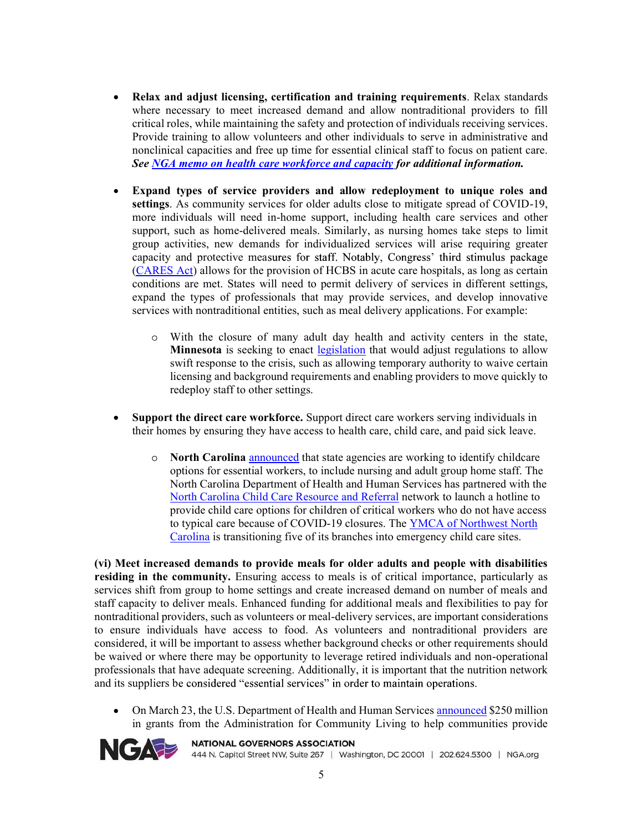- $\bullet$ Relax and adjust licensing, certification and training requirements. Relax standards where necessary to meet increased demand and allow nontraditional providers to fill critical roles, while maintaining the safety and protection of individuals receiving services. Provide training to allow volunteers and other individuals to serve in administrative and nonclinical capacities and free up time for essential clinical staff to focus on patient care. See NGA memo on health care workforce and capacity for additional information.
- Expand types of service providers and allow redeployment to unique roles and  $\bullet$ settings. As community services for older adults close to mitigate spread of COVID-19, more individuals will need in-home support, including health care services and other support, such as home-delivered meals. Similarly, as nursing homes take steps to limit group activities, new demands for individualized services will arise requiring greater capacity and protective measures for staff. Notably, Congress' third stimulus package (CARES Act) allows for the provision of HCBS in acute care hospitals, as long as certain conditions are met. States will need to permit delivery of services in different settings, expand the types of professionals that may provide services, and develop innovative services with nontraditional entities, such as meal delivery applications. For example:
	- With the closure of many adult day health and activity centers in the state, Minnesota is seeking to enact legislation that would adjust regulations to allow swift response to the crisis, such as allowing temporary authority to waive certain licensing and background requirements and enabling providers to move quickly to redeploy staff to other settings.
- Support the direct care workforce. Support direct care workers serving individuals in  $\bullet$ their homes by ensuring they have access to health care, child care, and paid sick leave.
	- $\circ$ North Carolina announced that state agencies are working to identify childcare options for essential workers, to include nursing and adult group home staff. The North Carolina Department of Health and Human Services has partnered with the North Carolina Child Care Resource and Referral network to launch a hotline to provide child care options for children of critical workers who do not have access to typical care because of COVID-19 closures. The YMCA of Northwest North Carolina is transitioning five of its branches into emergency child care sites.

(vi) Meet increased demands to provide meals for older adults and people with disabilities residing in the community. Ensuring access to meals is of critical importance, particularly as services shift from group to home settings and create increased demand on number of meals and staff capacity to deliver meals. Enhanced funding for additional meals and flexibilities to pay for nontraditional providers, such as volunteers or meal-delivery services, are important considerations to ensure individuals have access to food. As volunteers and nontraditional providers are considered, it will be important to assess whether background checks or other requirements should be waived or where there may be opportunity to leverage retired individuals and non-operational professionals that have adequate screening. Additionally, it is important that the nutrition network and its suppliers be considered "essential services" in order to maintain operations.

On March 23, the U.S. Department of Health and Human Services announced \$250 million  $\bullet$ in grants from the Administration for Community Living to help communities provide



**NATIONAL GOVERNORS ASSOCIATION** 444 N. Capitol Street NW, Suite 267 | Washington, DC 20001 | 202.624.5300 | NGA.org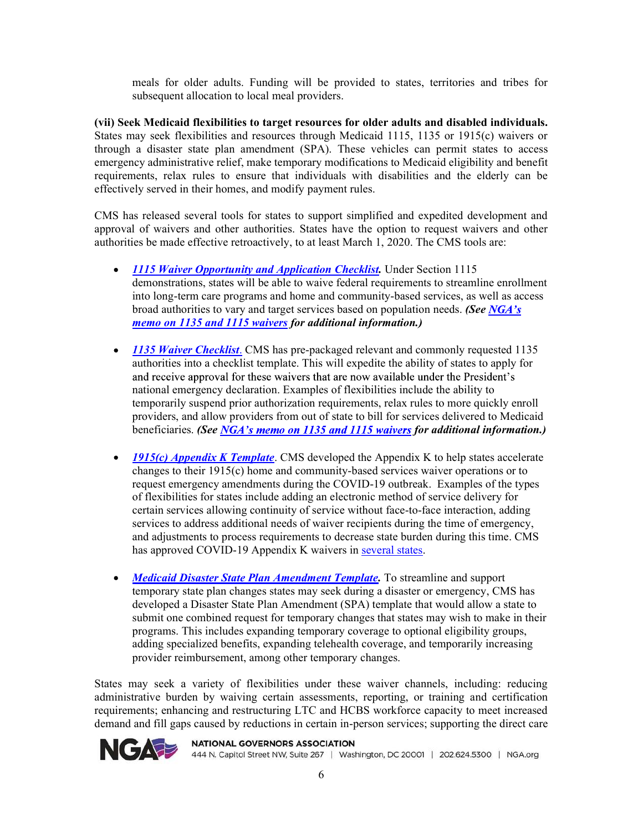meals for older adults. Funding will be provided to states, territories and tribes for subsequent allocation to local meal providers.

(vii) Seek Medicaid flexibilities to target resources for older adults and disabled individuals. States may seek flexibilities and resources through Medicaid 1115, 1135 or 1915(c) waivers or through a disaster state plan amendment (SPA). These vehicles can permit states to access emergency administrative relief, make temporary modifications to Medicaid eligibility and benefit requirements, relax rules to ensure that individuals with disabilities and the elderly can be effectively served in their homes, and modify payment rules.

CMS has released several tools for states to support simplified and expedited development and approval of waivers and other authorities. States have the option to request waivers and other authorities be made effective retroactively, to at least March 1, 2020. The CMS tools are:

- 1115 Waiver Opportunity and Application Checklist. Under Section 1115 demonstrations, states will be able to waive federal requirements to streamline enrollment into long-term care programs and home and community-based services, as well as access broad authorities to vary and target services based on population needs. (See NGA's memo on 1135 and 1115 waivers for additional information.)
- 1135 Waiver Checklist. CMS has pre-packaged relevant and commonly requested 1135 authorities into a checklist template. This will expedite the ability of states to apply for and receive approval for these waivers that are now available under the President's national emergency declaration. Examples of flexibilities include the ability to temporarily suspend prior authorization requirements, relax rules to more quickly enroll providers, and allow providers from out of state to bill for services delivered to Medicaid beneficiaries. (See NGA's memo on 1135 and 1115 waivers for additional information.)
- $\bullet$  1915(c) Appendix K Template. CMS developed the Appendix K to help states accelerate changes to their 1915(c) home and community-based services waiver operations or to request emergency amendments during the COVID-19 outbreak. Examples of the types of flexibilities for states include adding an electronic method of service delivery for certain services allowing continuity of service without face-to-face interaction, adding services to address additional needs of waiver recipients during the time of emergency, and adjustments to process requirements to decrease state burden during this time. CMS has approved COVID-19 Appendix K waivers in several states.
- **Medicaid Disaster State Plan Amendment Template.** To streamline and support  $\bullet$ temporary state plan changes states may seek during a disaster or emergency, CMS has developed a Disaster State Plan Amendment (SPA) template that would allow a state to submit one combined request for temporary changes that states may wish to make in their programs. This includes expanding temporary coverage to optional eligibility groups, adding specialized benefits, expanding telehealth coverage, and temporarily increasing provider reimbursement, among other temporary changes.

States may seek a variety of flexibilities under these waiver channels, including: reducing administrative burden by waiving certain assessments, reporting, or training and certification requirements; enhancing and restructuring LTC and HCBS workforce capacity to meet increased demand and fill gaps caused by reductions in certain in-person services; supporting the direct care



**NATIONAL GOVERNORS ASSOCIATION** 444 N. Capitol Street NW, Suite 267 | Washington, DC 20001 | 202.624.5300 | NGA.org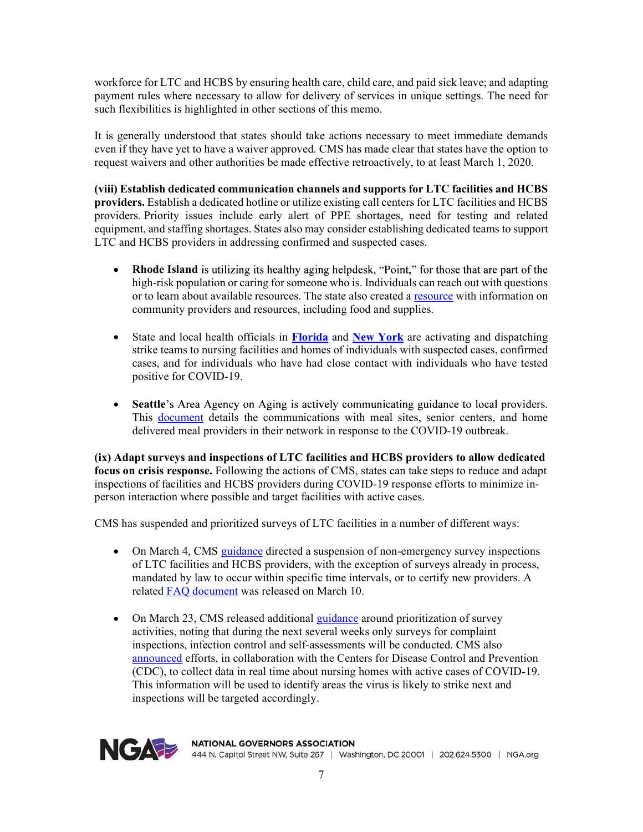workforce for LTC and HCBS by ensuring health care, child care, and paid sick leave; and adapting payment rules where necessary to allow for delivery of services in unique settings. The need for

workforce for LTC and HCBS by ensuring health care, child care, and paid sick leave; and adap<br>payment rules where necessary to allow for delivery of services in unique settings. The need<br>such flexibilities is highlighted i It is generally understood that states should take actions necessary to meet immediate demands even if they have yet to have a waiver approved. CMS has made clear that states have the option to request waivers and other authorities be made effective retroactively, to at least March 1, 2020.

(viii) Establish dedicated communication channels and supports for LTC facilities and HCBS providers. Establish a dedicated hotline or utilize existing call centers for LTC facilities and HCBS providers. Priority issues include early alert of PPE shortages, need for testing and related equipment, and staffing shortages. States also may consider establishing dedicated teams to support LTC and HCBS providers in addressing confirmed and suspected cases.

- **Rhode Island** is utilizing its healthy aging helpdesk, "Point," for those that are part of the  $\bullet$ high-risk population or caring for someone who is. Individuals can reach out with questions or to learn about available resources. The state also created a resource with information on community providers and resources, including food and supplies.
- State and local health officials in Florida and New York are activating and dispatching  $\bullet$ strike teams to nursing facilities and homes of individuals with suspected cases, confirmed cases, and for individuals who have had close contact with individuals who have tested positive for COVID-19.
- Seattle's Area Agency on Aging is actively communicating guidance to local providers. This document details the communications with meal sites, senior centers, and home delivered meal providers in their network in response to the COVID-19 outbreak.

(ix) Adapt surveys and inspections of LTC facilities and HCBS providers to allow dedicated focus on crisis response. Following the actions of CMS, states can take steps to reduce and adapt inspections of facilities and HCBS providers during COVID-19 response efforts to minimize inperson interaction where possible and target facilities with active cases.

CMS has suspended and prioritized surveys of LTC facilities in a number of different ways:

- On March 4, CMS guidance directed a suspension of non-emergency survey inspections of LTC facilities and HCBS providers, with the exception of surveys already in process, mandated by law to occur within specific time intervals, or to certify new providers. A related FAQ document was released on March 10.
- On March 23, CMS released additional guidance around prioritization of survey  $\bullet$ activities, noting that during the next several weeks only surveys for complaint inspections, infection control and self-assessments will be conducted. CMS also announced efforts, in collaboration with the Centers for Disease Control and Prevention (CDC), to collect data in real time about nursing homes with active cases of COVID-19. This information will be used to identify areas the virus is likely to strike next and inspections will be targeted accordingly.



**NATIONAL GOVERNORS ASSOCIATION** 444 N. Capitol Street NW, Suite 267 | Washington, DC 20001 | 202.624.5300 | NGA.org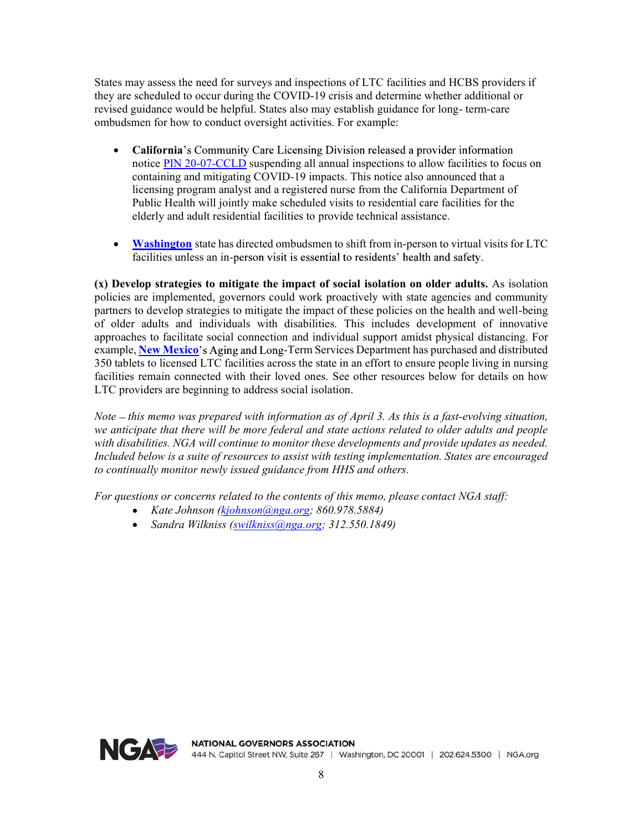States may assess the need for surveys and inspections of LTC facilities and HCBS providers if they are scheduled to occur during the COVID-19 crisis and determine whether additional or States may assess the need for surveys and inspections of LTC facilities and HCBS providers if<br>they are scheduled to occur during the COVID-19 crisis and determine whether additional or<br>revised guidance would be helpful. ombudsmen for how to conduct oversight activities. For example:

- California's Community Care Licensing Division released a provider information notice PIN 20-07-CCLD suspending all annual inspections to allow facilities to focus on containing and mitigating COVID-19 impacts. This notice also announced that a licensing program analyst and a registered nurse from the California Department of Public Health will jointly make scheduled visits to residential care facilities for the elderly and adult residential facilities to provide technical assistance.
- Washington state has directed ombudsmen to shift from in-person to virtual visits for LTC  $\bullet$ facilities unless an in-person visit is essential to residents' health and safety.

(x) Develop strategies to mitigate the impact of social isolation on older adults. As isolation policies are implemented, governors could work proactively with state agencies and community partners to develop strategies to mitigate the impact of these policies on the health and well-being of older adults and individuals with disabilities. This includes development of innovative approaches to facilitate social connection and individual support amidst physical distancing. For example, New Mexico's Aging and Long-Term Services Department has purchased and distributed 350 tablets to licensed LTC facilities across the state in an effort to ensure people living in nursing facilities remain connected with their loved ones. See other resources below for details on how LTC providers are beginning to address social isolation.

Note  $-$  this memo was prepared with information as of April 3. As this is a fast-evolving situation, we anticipate that there will be more federal and state actions related to older adults and people with disabilities. NGA will continue to monitor these developments and provide updates as needed. Included below is a suite of resources to assist with testing implementation. States are encouraged to continually monitor newly issued guidance from HHS and others.

For questions or concerns related to the contents of this memo, please contact NGA staff:

- Kate Johnson (kjohnson@nga.org; 860.978.5884)
- Sandra Wilkniss (swilkniss@nga.org; 312.550.1849)  $\bullet$

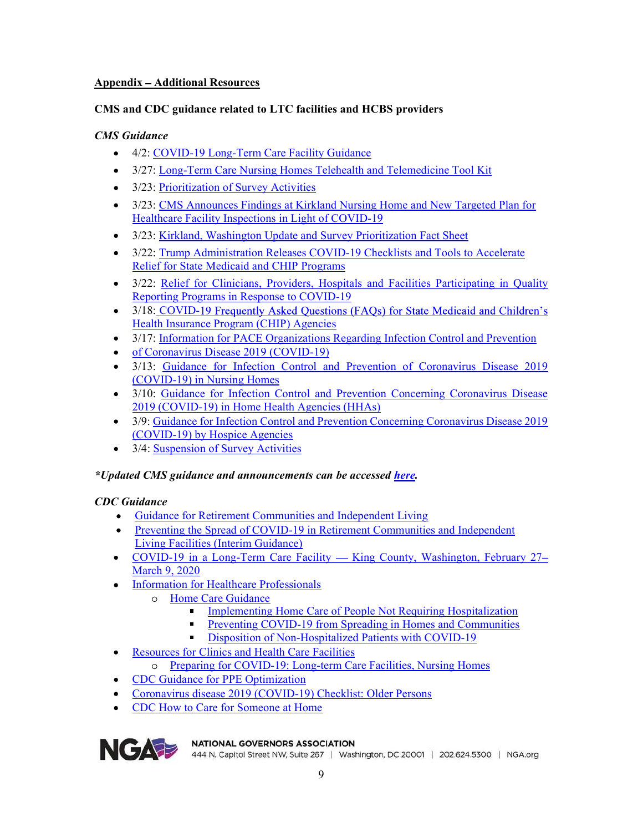# Appendix Additional Resources

# CMS Guidance

- 4/2: COVID-19 Long-Term Care Facility Guidance
- Appendix Additional Resources<br>
CMS and CDC guidance related to LTC facilities and HCBS providers<br>
CMS Guidance<br>
 4/2: COVID-19 Long-Term Care Facility Guidance<br>
→ 3/27: <u>Long-Term Care Nursing Homes Telehealth and Tele</u> 3/27: Long-Term Care Nursing Homes Telehealth and Telemedicine Tool Kit
	- 3/23: Prioritization of Survey Activities
	- 3/23: CMS Announces Findings at Kirkland Nursing Home and New Targeted Plan for Healthcare Facility Inspections in Light of COVID-19
	- 3/23: Kirkland, Washington Update and Survey Prioritization Fact Sheet
	- 3/22: Trump Administration Releases COVID-19 Checklists and Tools to Accelerate Relief for State Medicaid and CHIP Programs
	- 3/22: Relief for Clinicians, Providers, Hospitals and Facilities Participating in Quality Reporting Programs in Response to COVID-19
	- 3/18: COVID-19 Frequently Asked Questions (FAQs) for State Medicaid and Children's Health Insurance Program (CHIP) Agencies
	- 3/17: Information for PACE Organizations Regarding Infection Control and Prevention
	- of Coronavirus Disease 2019 (COVID-19)
	- 3/13: Guidance for Infection Control and Prevention of Coronavirus Disease 2019 (COVID-19) in Nursing Homes
	- 3/10: Guidance for Infection Control and Prevention Concerning Coronavirus Disease 2019 (COVID-19) in Home Health Agencies (HHAs)
	- 3/9: Guidance for Infection Control and Prevention Concerning Coronavirus Disease 2019 (COVID-19) by Hospice Agencies
	- 3/4: Suspension of Survey Activities

# *\*Updated CMS guidance and announcements can be accessed <u>here</u>.*<br>CDC Guidance

- 
- Guidance for Retirement Communities and Independent Living<br>• Preventing the Spread of COVID-19 in Retirement Communities and Independent
- Living Facilities (Interim Guidance)<br>
COVID-19 in a Long-Term Care Facility King County, Washington, February 27– March 9, 2020
- Information for Healthcare Professionals
	- o Home Care Guidance
		- $\blacksquare$  . Implementing Home Care of People Not Requiring Hospitalization
		- Preventing COVID-19 from Spreading in Homes and Communities
		- Disposition of Non-Hospitalized Patients with COVID-19  $\blacksquare$
- Resources for Clinics and Health Care Facilities  $\bullet$ 
	- Preparing for COVID-19: Long-term Care Facilities, Nursing Homes
- CDC Guidance for PPE Optimization
- Coronavirus disease 2019 (COVID-19) Checklist: Older Persons
- CDC How to Care for Someone at Home



NGA PER NATIONAL GOVERNORS ASSOCIATION<br>444 N. Capitol Street NW, Suite 267 | Washington, DC 20001 | 202.624.5300 | NGA.org